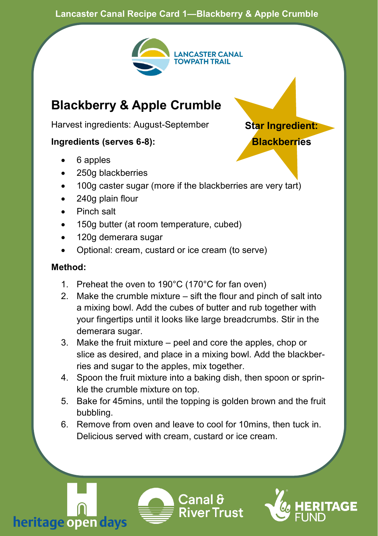#### **Lancaster Canal Recipe Card 1—Blackberry & Apple Crumble**



## **Blackberry & Apple Crumble**

Harvest ingredients: August-September

#### **Ingredients (serves 6-8):**

- 6 apples
- 250g blackberries
- 100g caster sugar (more if the blackberries are very tart)
- 240g plain flour
- Pinch salt
- 150g butter (at room temperature, cubed)
- 120g demerara sugar
- Optional: cream, custard or ice cream (to serve)

### **Method:**

- 1. Preheat the oven to 190°C (170°C for fan oven)
- 2. Make the crumble mixture sift the flour and pinch of salt into a mixing bowl. Add the cubes of butter and rub together with your fingertips until it looks like large breadcrumbs. Stir in the demerara sugar.
- 3. Make the fruit mixture peel and core the apples, chop or slice as desired, and place in a mixing bowl. Add the blackberries and sugar to the apples, mix together.
- 4. Spoon the fruit mixture into a baking dish, then spoon or sprinkle the crumble mixture on top.
- 5. Bake for 45mins, until the topping is golden brown and the fruit bubbling.
- 6. Remove from oven and leave to cool for 10mins, then tuck in. Delicious served with cream, custard or ice cream.







**Star Ingredient: Blackberries**